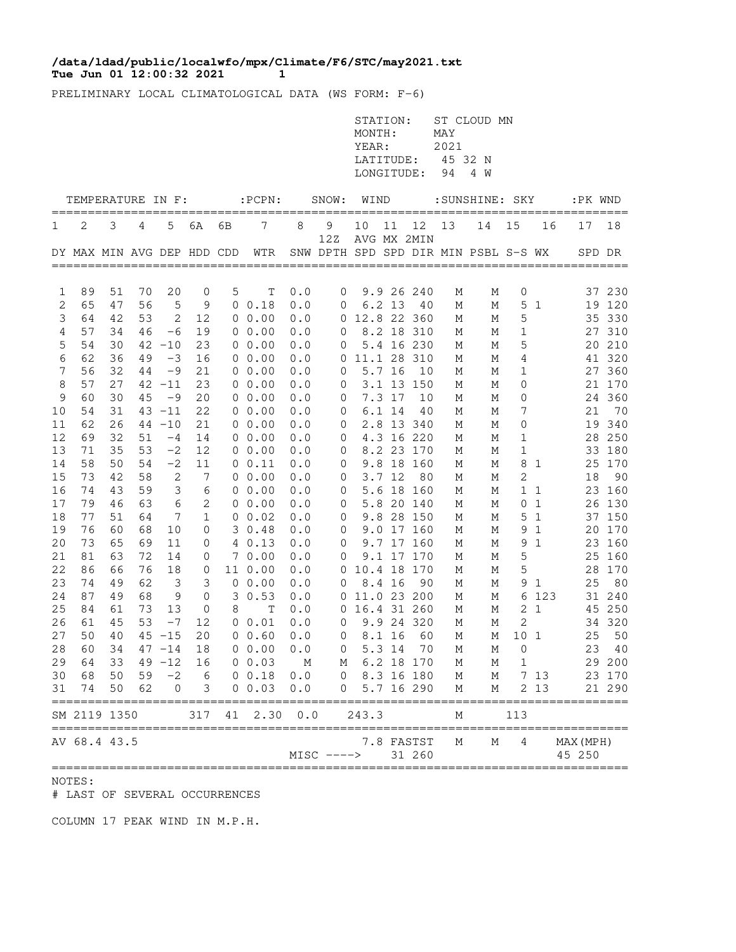## **Tue Jun 01 12:00:32 2021 1 /data/ldad/public/localwfo/mpx/Climate/F6/STC/may2021.txt**

PRELIMINARY LOCAL CLIMATOLOGICAL DATA (WS FORM: F-6)

|          | AV 68.4 43.5               |          |                   |                      |                      |    |                                       |                | $MISC$ ---->   |                                            |          | 7.8 FASTST<br>31 260     | M                            | М                                    | 4                |                | MAX (MPH)<br>45 250 |                  |
|----------|----------------------------|----------|-------------------|----------------------|----------------------|----|---------------------------------------|----------------|----------------|--------------------------------------------|----------|--------------------------|------------------------------|--------------------------------------|------------------|----------------|---------------------|------------------|
|          | SM 2119 1350               |          |                   |                      |                      |    | 317 41 2.30 0.0                       |                |                | 243.3                                      |          |                          | М                            |                                      | 113              |                |                     |                  |
| 30<br>31 | 74                         | 50       | 68 50 59 -2<br>62 | $\mathbf 0$          | $6\overline{6}$<br>3 |    | 0 0.18 0.0<br>$0\;\;0.03$             | 0.0            | $\overline{0}$ | $0\quad 8.3\ 16\ 180$                      |          | 5.7 16 290               | M<br>М                       | M 7 13<br>М                          |                  | 2 1 3          |                     | 23 170<br>21 290 |
| 28<br>29 | 60<br>64                   | 34<br>33 |                   | $49 - 12$            | 16                   |    | 47 -14 18 0 0.00 0.0 0<br>$0\;\;0.03$ | M <sub>1</sub> |                | M 6.2 18 170                               |          | 5.3 14 70                | M                            | M M O<br>M                           | 1                |                |                     | 23 40<br>29 200  |
| 27       | 50                         | 40       |                   | $45 - 15$            | 20                   |    | 0 0.60                                | 0.0            | $\circ$        | 8.1 16                                     |          | 60                       | М                            | М                                    | 10 <sub>1</sub>  |                | 25                  | 50               |
| 26       | 61                         | 45       | 53                | $-7$                 | 12                   |    | 0 0.01                                | 0.0            | $\overline{0}$ |                                            |          | 9.9 24 320               | М                            | М                                    | $\overline{2}$   |                |                     | 34 320           |
| 25       | 84                         | 61       | 73                | 13                   | $\overline{0}$       | 8  | Т                                     | 0.0            |                | 0 16.4 31 260                              |          |                          | М                            | М                                    |                  | 2 <sub>1</sub> |                     | 45 250           |
| 24       | 87                         | 49       | 68                | 9                    | 0                    |    | 30.53                                 | 0.0            |                | 0 11.0 23 200                              |          |                          | М                            | М                                    |                  | 6 123          |                     | 31 240           |
| 23       | 74                         | 49       | 62                | 3                    | 3                    |    | $0\;\;0.00$                           | 0.0            | 0              |                                            | 8.4 16   | 90                       | М                            | М                                    |                  | 9 1            | 25                  | 80               |
| 22       | 86                         | 66       | 76                | 18                   | 0                    |    | 11 0.00                               | 0.0            |                | 0 10.4 18 170                              |          |                          | М                            | М                                    | 5                |                |                     | 28 170           |
| 21       | 81                         | 63       | 72                | 14                   | 0                    |    | 70.00                                 | 0.0            | 0              |                                            |          | 9.1 17 170               | М                            | М                                    | 5                |                |                     | 25 160           |
| 20       | 73                         | 65       | 69                | 11                   | 0                    |    | 40.13                                 | 0.0            | 0              |                                            |          | 9.7 17 160               | М                            | М                                    |                  | 9 1            |                     | 23 160           |
| 18<br>19 | 76                         | 51<br>60 | 68                | 10                   | 1<br>0               |    | 30.48                                 | 0.0<br>0.0     | 0<br>$\circ$   |                                            |          | 9.8 28 150<br>9.0 17 160 | М<br>М                       | М<br>М                               |                  | 51<br>91       |                     | 37 150<br>20 170 |
| 17       | 79<br>77                   | 46       | 63<br>64          | 6<br>$7\phantom{.0}$ | 2                    |    | $0\;\;0.00$<br>$0 \t 0.02$            | 0.0            | $\overline{0}$ |                                            |          | 5.8 20 140               | М                            | М                                    |                  | 0 1            |                     | 26 130           |
| 16       | 74                         | 43       | 59                | 3                    | 6                    |    | $0\;\;0.00$                           | 0.0            | $\overline{0}$ |                                            |          | 5.6 18 160               | М                            | М                                    |                  | $1\quad1$      |                     | 23 160           |
| 15       | 73                         | 42       | 58                | 2                    | $\overline{7}$       |    | $0\;\;0.00$                           | 0.0            | $\overline{0}$ |                                            | 3.712    | 80                       | М                            | М                                    | $\mathbf{2}$     |                | 18                  | 90               |
| 14       | 58                         | 50       | 54                | $-2$                 | 11                   |    | 0 0.11                                | 0.0            | $\mathbf 0$    |                                            |          | 9.8 18 160               | М                            | М                                    |                  | 8 1            |                     | 25 170           |
| 13       | 71                         | 35       | 53                | $-2$                 | 12                   |    | $0\;\;0.00$                           | 0.0            | $\overline{0}$ |                                            |          | 8.2 23 170               | М                            | М                                    | 1                |                |                     | 33 180           |
| 12       | 69                         | 32       | 51                | $-4$                 | 14                   |    | 0 0.00                                | 0.0            | 0              |                                            |          | 4.3 16 220               | М                            | М                                    | 1                |                |                     | 28 250           |
| 11       | 62                         | 26       |                   | $44 - 10$            | 21                   |    | $0\;\;0.00$                           | 0.0            | $\overline{0}$ |                                            |          | 2.8 13 340               | М                            | М                                    | 0                |                |                     | 19 340           |
| 10       | 54                         | 31       |                   | $43 - 11$            | 22                   |    | $0\;\;0.00$                           | 0.0            | 0              |                                            | 6.1 14   | 40                       | М                            | М                                    | 7                |                | 21                  | 70               |
| 9        | 60                         | 30       | 45                | $-9$                 | 20                   |    | $0\;\;0.00$                           | 0.0            | 0              |                                            | 7.3 17   | 10                       | М                            | М                                    | 0                |                |                     | 24 360           |
| 8        | 57                         | 27       |                   | $42 - 11$            | 23                   |    | 0 0.00                                | 0.0            | $\mathbf 0$    |                                            |          | 3.1 13 150               | М                            | М                                    | 0                |                |                     | 21 170           |
| 7        | 56                         | 32       | 44                | $-9$                 | 21                   |    | $0\;\;0.00$                           | 0.0            | 0              |                                            | 5.7 16   | 10                       | М                            | М                                    | 1                |                |                     | 27 360           |
| 6        | 62                         | 36       | 49                | $-3$                 | 16                   |    | 0, 0.00                               | 0.0            |                | 0 11.1 28 310                              |          |                          | М<br>М                       | М                                    | 4                |                |                     | 41 320           |
| 4<br>5   | 57<br>54                   | 34<br>30 | 46                | -6<br>$42 - 10$      | 19<br>23             |    | $0\;\;0.00$<br>$0\;\;0.00$            | 0.0<br>0.0     | 0<br>0         |                                            |          | 8.2 18 310<br>5.4 16 230 | М                            | М<br>М                               | $\mathbf 1$<br>5 |                |                     | 27 310<br>20 210 |
| 3        | 64                         | 42       | 53                | 2                    | 12                   |    | $0\;\;0.00$                           | 0.0            |                | 0 12.8 22 360                              |          |                          | М                            | М                                    | 5                |                |                     | 35 330           |
| 2        | 65                         | 47       | 56                | $\mathbf 5$          | 9                    |    | 0 0.18                                | 0.0            | 0              |                                            | $6.2$ 13 | - 40                     | М                            | М                                    |                  | 5 <sub>1</sub> |                     | 19 120           |
| 1        | 89                         | 51       | 70                | 20                   | $\mathbf 0$          | 5  | Т                                     | 0.0            | $\overline{0}$ |                                            |          | 9.9 26 240               | М                            | М                                    | 0                |                |                     | 37 230           |
|          | DY MAX MIN AVG DEP HDD CDD |          |                   |                      |                      |    | WTR                                   |                |                |                                            |          |                          |                              | SNW DPTH SPD SPD DIR MIN PSBL S-S WX |                  |                |                     | SPD DR           |
| 1        | 2                          | 3        | 4                 | 5                    | 6A                   | 6B | 7                                     | 8              | 9<br>12Z       | 10<br>AVG MX 2MIN                          | 11       | 12                       | 13                           | 14                                   | 15               | 16             | 17                  | 18               |
|          | TEMPERATURE IN F:          |          |                   |                      |                      |    | $:$ $PCPN:$                           |                | SNOW:          | WIND                                       |          |                          |                              | : SUNSHINE: SKY                      |                  |                | :PK WND             |                  |
|          |                            |          |                   |                      |                      |    |                                       |                |                | MONTH:<br>YEAR:<br>LATITUDE:<br>LONGITUDE: |          |                          | MAY<br>2021<br>45 32 N<br>94 | 4 W                                  |                  |                |                     |                  |
|          |                            |          |                   |                      |                      |    |                                       |                |                | STATION:                                   |          |                          |                              | ST CLOUD MN                          |                  |                |                     |                  |

NOTES:

# LAST OF SEVERAL OCCURRENCES

COLUMN 17 PEAK WIND IN M.P.H.